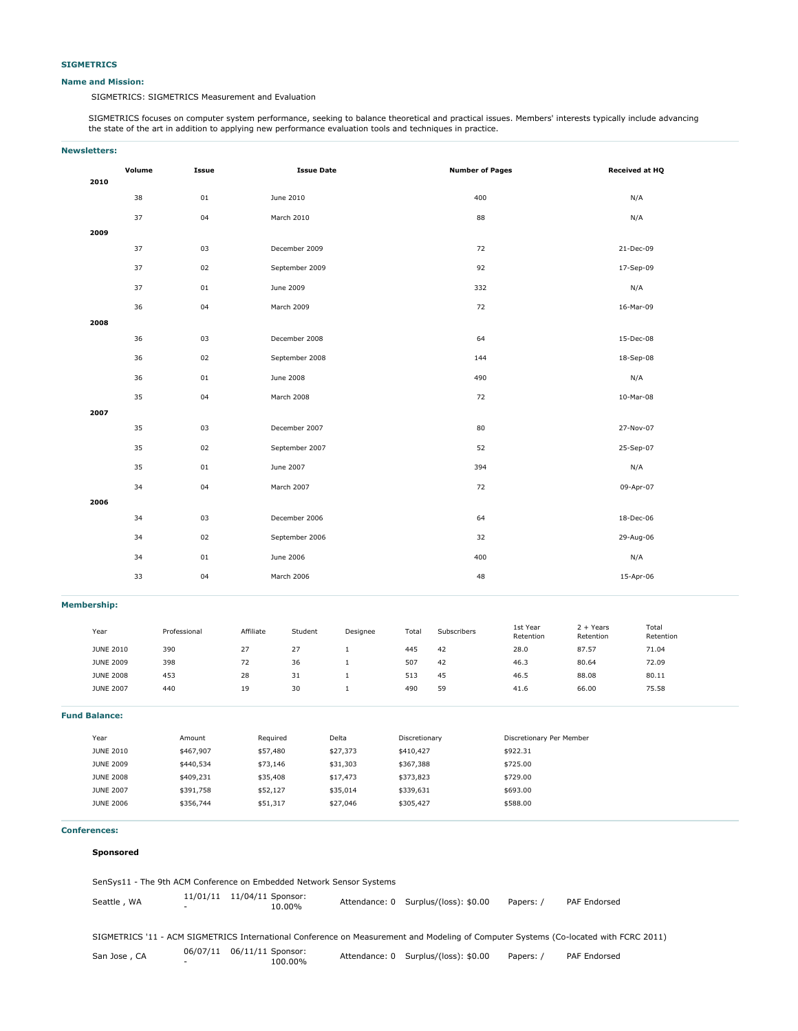#### **Name and Mission:**

SIGMETRICS: SIGMETRICS Measurement and Evaluation

SIGMETRICS focuses on computer system performance, seeking to balance theoretical and practical issues. Members' interests typically include advancing the state of the art in addition to applying new performance evaluation tools and techniques in practice.

# **Newsletters: Volume Issue Issue Date Number of Pages Received at HQ 2010** 38 01 June 2010 400 N/A 37 04 March 2010 88 N/A **2009** 37 03 December 2009 72 21-Dec-09 37 02 September 2009 92 17-Sep-09 37 01 June 2009 332 N/A 36 04 March 2009 72 16-Mar-09 **2008** 36 03 December 2008 64 15-Dec-08 36 02 September 2008 144 18-Sep-08 36 01 June 2008 490 N/A 35 04 March 2008 72 10-Mar-08 **2007** 35 03 December 2007 80 27-Nov-07 35 02 September 2007 52 25-Sep-07 35 01 June 2007 394 N/A 34 04 March 2007 72 09-Apr-07 **2006** 34 03 December 2006 18-Dec-06 2006 18-Dec-06 2006 18-Dec-06 2006 18-Dec-06 34 02 September 2006 32 29-Aug-06 34 01 June 2006 400 N/A 33 04 March 2006 48 15-Apr-06

#### **Membership:**

| Year             | Professional | Affiliate | Student          | Designee | Total | Subscribers | 1st Year<br>Retention | $2 + Years$<br>Retention | Total<br>Retention |
|------------------|--------------|-----------|------------------|----------|-------|-------------|-----------------------|--------------------------|--------------------|
| <b>JUNE 2010</b> | 390          | 27        | 77<br>$\epsilon$ |          | 445   | 42          | 28.0                  | 87.57                    | 71.04              |
| <b>JUNE 2009</b> | 398          | 72        | 36               |          | 507   | 42          | 46.3                  | 80.64                    | 72.09              |
| <b>JUNE 2008</b> | 453          | 28        | 31               |          | 513   | 45          | 46.5                  | 88.08                    | 80.11              |
| <b>JUNE 2007</b> | 440          | 19        | 30               |          | 490   | 59          | 41.6                  | 66.00                    | 75.58              |

**Fund Balance:**

| Year             | Amount    | Required | Delta    | Discretionary | Discretionary Per Member |
|------------------|-----------|----------|----------|---------------|--------------------------|
| <b>JUNE 2010</b> | \$467.907 | \$57,480 | \$27,373 | \$410,427     | \$922.31                 |
| <b>JUNE 2009</b> | \$440,534 | \$73,146 | \$31,303 | \$367,388     | \$725.00                 |
| <b>JUNE 2008</b> | \$409,231 | \$35,408 | \$17,473 | \$373,823     | \$729.00                 |
| <b>JUNE 2007</b> | \$391,758 | \$52,127 | \$35,014 | \$339,631     | \$693.00                 |
| <b>JUNE 2006</b> | \$356,744 | \$51,317 | \$27,046 | \$305,427     | \$588.00                 |
|                  |           |          |          |               |                          |

## **Conferences:**

## **Sponsored**

| SenSys11 - The 9th ACM Conference on Embedded Network Sensor Systems                                                                 |                                      |                              |  |                                      |           |              |
|--------------------------------------------------------------------------------------------------------------------------------------|--------------------------------------|------------------------------|--|--------------------------------------|-----------|--------------|
| Seattle, WA                                                                                                                          | 11/01/11                             | 11/04/11 Sponsor:<br>10.00%  |  | Attendance: 0 Surplus/(loss): \$0.00 | Papers: / | PAF Endorsed |
| SIGMETRICS '11 - ACM SIGMETRICS International Conference on Measurement and Modeling of Computer Systems (Co-located with FCRC 2011) |                                      |                              |  |                                      |           |              |
| San Jose, CA                                                                                                                         | 06/07/11<br>$\overline{\phantom{a}}$ | 06/11/11 Sponsor:<br>100.00% |  | Attendance: 0 Surplus/(loss): \$0.00 | Papers: / | PAF Endorsed |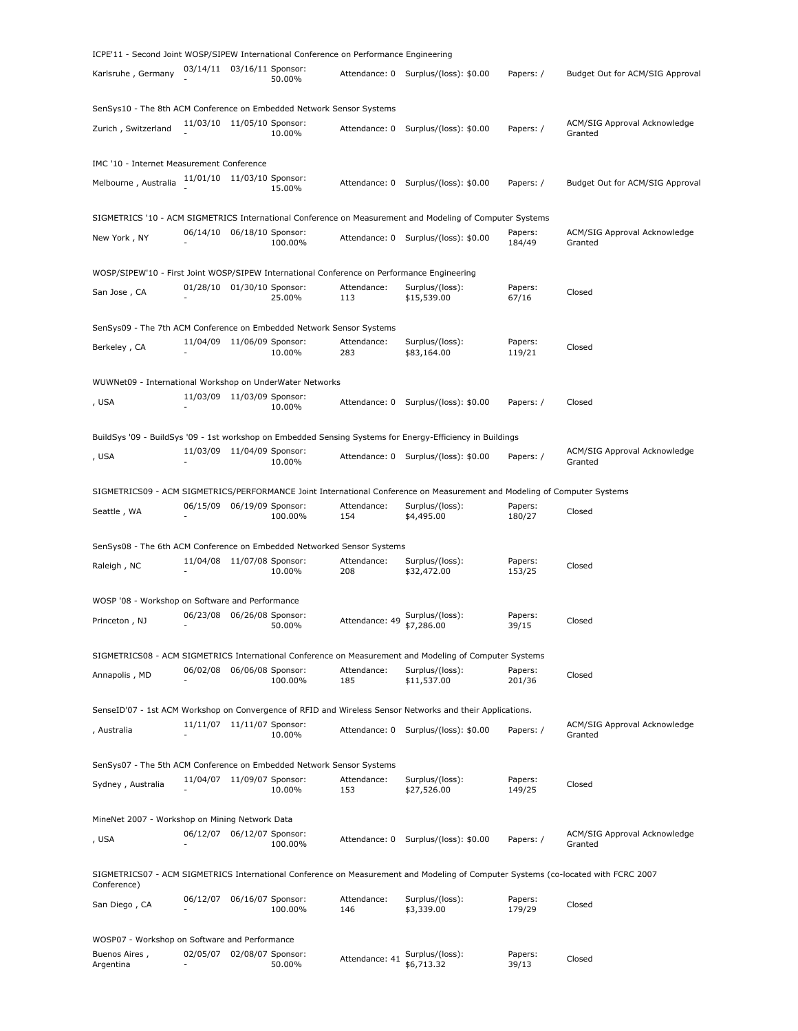| ICPE'11 - Second Joint WOSP/SIPEW International Conference on Performance Engineering      |                              |                   |         |                    |                                                                                                                                   |                   |                                         |
|--------------------------------------------------------------------------------------------|------------------------------|-------------------|---------|--------------------|-----------------------------------------------------------------------------------------------------------------------------------|-------------------|-----------------------------------------|
| Karlsruhe, Germany                                                                         | 03/14/11 03/16/11 Sponsor:   |                   | 50.00%  |                    | Attendance: 0 Surplus/(loss): \$0.00                                                                                              | Papers: /         | Budget Out for ACM/SIG Approval         |
| SenSys10 - The 8th ACM Conference on Embedded Network Sensor Systems                       |                              |                   |         |                    |                                                                                                                                   |                   |                                         |
| Zurich, Switzerland                                                                        | 11/03/10 11/05/10 Sponsor:   |                   | 10.00%  | Attendance: 0      | Surplus/(loss): \$0.00                                                                                                            | Papers: /         | ACM/SIG Approval Acknowledge<br>Granted |
| IMC '10 - Internet Measurement Conference                                                  |                              |                   |         |                    |                                                                                                                                   |                   |                                         |
| Melbourne, Australia                                                                       | 11/01/10 11/03/10 Sponsor:   |                   | 15.00%  |                    | Attendance: 0 Surplus/(loss): \$0.00                                                                                              | Papers: /         | Budget Out for ACM/SIG Approval         |
|                                                                                            |                              |                   |         |                    | SIGMETRICS '10 - ACM SIGMETRICS International Conference on Measurement and Modeling of Computer Systems                          |                   |                                         |
| New York, NY                                                                               | 06/14/10 06/18/10 Sponsor:   |                   | 100.00% |                    | Attendance: 0 Surplus/(loss): \$0.00                                                                                              | Papers:<br>184/49 | ACM/SIG Approval Acknowledge<br>Granted |
| WOSP/SIPEW'10 - First Joint WOSP/SIPEW International Conference on Performance Engineering |                              |                   |         |                    |                                                                                                                                   |                   |                                         |
| San Jose, CA                                                                               | 01/28/10 01/30/10 Sponsor:   |                   | 25.00%  | Attendance:<br>113 | Surplus/(loss):<br>\$15,539.00                                                                                                    | Papers:<br>67/16  | Closed                                  |
| SenSys09 - The 7th ACM Conference on Embedded Network Sensor Systems                       |                              |                   |         |                    |                                                                                                                                   |                   |                                         |
| Berkeley, CA                                                                               | 11/04/09 11/06/09 Sponsor:   |                   | 10.00%  | Attendance:<br>283 | Surplus/(loss):<br>\$83,164.00                                                                                                    | Papers:<br>119/21 | Closed                                  |
| WUWNet09 - International Workshop on UnderWater Networks                                   |                              |                   |         |                    |                                                                                                                                   |                   |                                         |
| , USA                                                                                      | 11/03/09 11/03/09 Sponsor:   |                   | 10.00%  |                    | Attendance: 0 Surplus/(loss): \$0.00                                                                                              | Papers: /         | Closed                                  |
|                                                                                            |                              |                   |         |                    |                                                                                                                                   |                   |                                         |
|                                                                                            | 11/03/09 11/04/09 Sponsor:   |                   |         |                    | BuildSys '09 - BuildSys '09 - 1st workshop on Embedded Sensing Systems for Energy-Efficiency in Buildings                         |                   | ACM/SIG Approval Acknowledge            |
| , USA                                                                                      |                              |                   | 10.00%  |                    | Attendance: 0 Surplus/(loss): \$0.00                                                                                              | Papers: /         | Granted                                 |
|                                                                                            |                              |                   |         |                    | SIGMETRICS09 - ACM SIGMETRICS/PERFORMANCE Joint International Conference on Measurement and Modeling of Computer Systems          |                   |                                         |
| Seattle, WA                                                                                | 06/15/09 06/19/09 Sponsor:   |                   |         | Attendance:        | Surplus/(loss):                                                                                                                   | Papers:           | Closed                                  |
|                                                                                            |                              |                   | 100.00% | 154                | \$4,495.00                                                                                                                        | 180/27            |                                         |
| SenSys08 - The 6th ACM Conference on Embedded Networked Sensor Systems                     |                              |                   |         |                    |                                                                                                                                   |                   |                                         |
| Raleigh, NC                                                                                | 11/04/08 11/07/08 Sponsor:   |                   | 10.00%  | Attendance:<br>208 | Surplus/(loss):<br>\$32,472.00                                                                                                    | Papers:<br>153/25 | Closed                                  |
| WOSP '08 - Workshop on Software and Performance                                            |                              |                   |         |                    |                                                                                                                                   |                   |                                         |
| Princeton, NJ                                                                              | 06/23/08 06/26/08 Sponsor:   |                   | 50.00%  | Attendance: 49     | Surplus/(loss):<br>\$7,286.00                                                                                                     | Papers:<br>39/15  | Closed                                  |
|                                                                                            |                              |                   |         |                    |                                                                                                                                   |                   |                                         |
|                                                                                            |                              |                   |         |                    | SIGMETRICS08 - ACM SIGMETRICS International Conference on Measurement and Modeling of Computer Systems                            |                   |                                         |
| Annapolis, MD                                                                              | 06/02/08                     | 06/06/08 Sponsor: | 100.00% | Attendance:<br>185 | Surplus/(loss):<br>\$11,537.00                                                                                                    | Papers:<br>201/36 | Closed                                  |
|                                                                                            |                              |                   |         |                    | SenseID'07 - 1st ACM Workshop on Convergence of RFID and Wireless Sensor Networks and their Applications.                         |                   |                                         |
| , Australia                                                                                | 11/11/07  11/11/07  Sponsor: |                   | 10.00%  | Attendance: 0      | Surplus/(loss): \$0.00                                                                                                            | Papers: /         | ACM/SIG Approval Acknowledge<br>Granted |
| SenSys07 - The 5th ACM Conference on Embedded Network Sensor Systems                       |                              |                   |         |                    |                                                                                                                                   |                   |                                         |
| Sydney, Australia                                                                          | 11/04/07                     | 11/09/07 Sponsor: | 10.00%  | Attendance:<br>153 | Surplus/(loss):<br>\$27,526.00                                                                                                    | Papers:<br>149/25 | Closed                                  |
| MineNet 2007 - Workshop on Mining Network Data                                             |                              |                   |         |                    |                                                                                                                                   |                   |                                         |
| , USA                                                                                      | 06/12/07                     | 06/12/07 Sponsor: |         | Attendance: 0      | Surplus/(loss): \$0.00                                                                                                            | Papers: /         | ACM/SIG Approval Acknowledge            |
|                                                                                            |                              |                   | 100.00% |                    |                                                                                                                                   |                   | Granted                                 |
| Conference)                                                                                |                              |                   |         |                    | SIGMETRICS07 - ACM SIGMETRICS International Conference on Measurement and Modeling of Computer Systems (co-located with FCRC 2007 |                   |                                         |
| San Diego, CA                                                                              | 06/12/07                     | 06/16/07 Sponsor: | 100.00% | Attendance:<br>146 | Surplus/(loss):<br>\$3,339.00                                                                                                     | Papers:<br>179/29 | Closed                                  |
| WOSP07 - Workshop on Software and Performance                                              |                              |                   |         |                    |                                                                                                                                   |                   |                                         |
| Buenos Aires,                                                                              |                              |                   |         |                    |                                                                                                                                   |                   |                                         |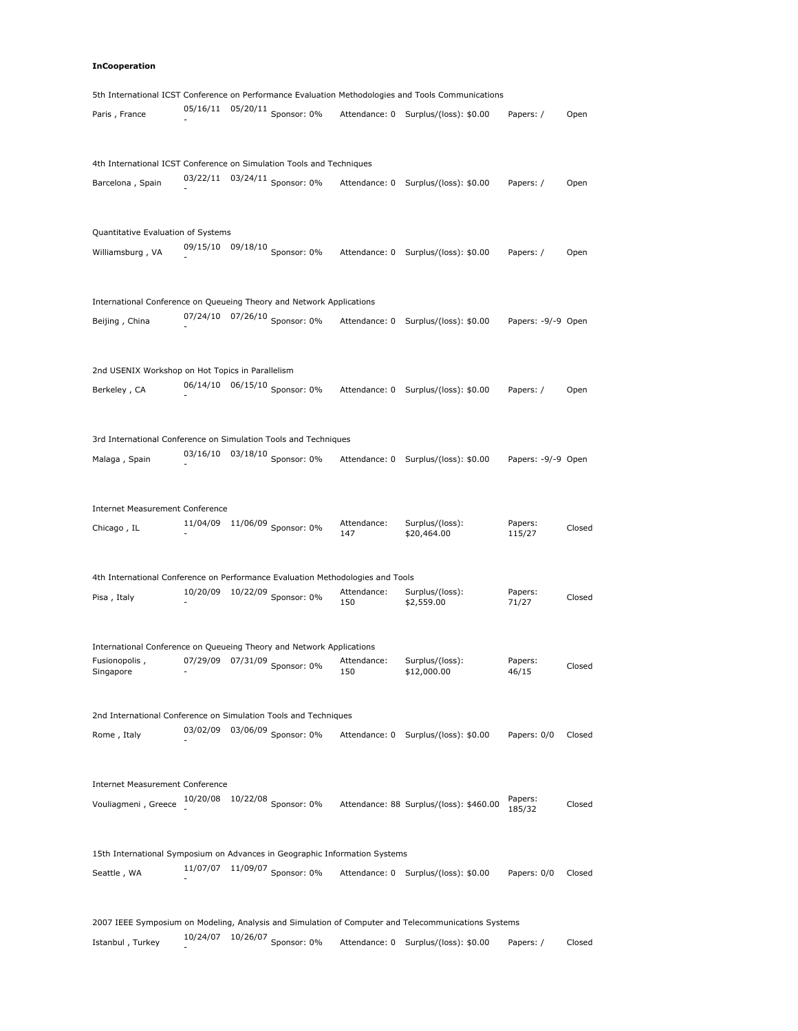# **InCooperation**

|                                                                                       |          |                                 |                    | 5th International ICST Conference on Performance Evaluation Methodologies and Tools Communications  |                    |        |
|---------------------------------------------------------------------------------------|----------|---------------------------------|--------------------|-----------------------------------------------------------------------------------------------------|--------------------|--------|
| Paris, France                                                                         | 05/16/11 | 05/20/11 Sponsor: 0%            |                    | Attendance: 0 Surplus/(loss): \$0.00                                                                | Papers: /          | Open   |
| 4th International ICST Conference on Simulation Tools and Techniques                  |          |                                 |                    |                                                                                                     |                    |        |
| Barcelona, Spain                                                                      |          | 03/22/11 03/24/11 Sponsor: 0%   |                    | Attendance: 0 Surplus/(loss): \$0.00                                                                | Papers: /          | Open   |
| Quantitative Evaluation of Systems                                                    |          |                                 |                    |                                                                                                     |                    |        |
| Williamsburg, VA                                                                      |          | 09/15/10 09/18/10 Sponsor: 0%   |                    | Attendance: 0 Surplus/(loss): \$0.00                                                                | Papers: /          | Open   |
| International Conference on Queueing Theory and Network Applications                  |          |                                 |                    |                                                                                                     |                    |        |
| Beijing, China                                                                        | 07/24/10 | 07/26/10 Sponsor: $0\%$         |                    | Attendance: 0 Surplus/(loss): \$0.00                                                                | Papers: -9/-9 Open |        |
| 2nd USENIX Workshop on Hot Topics in Parallelism                                      |          |                                 |                    |                                                                                                     |                    |        |
| Berkeley, CA                                                                          |          | 06/14/10  06/15/10  Sponsor: 0% |                    | Attendance: 0 Surplus/(loss): \$0.00                                                                | Papers: /          | Open   |
| 3rd International Conference on Simulation Tools and Techniques                       |          |                                 |                    |                                                                                                     |                    |        |
| Malaga, Spain                                                                         |          | 03/16/10  03/18/10  Sponsor: 0% |                    | Attendance: 0 Surplus/(loss): \$0.00                                                                | Papers: -9/-9 Open |        |
| <b>Internet Measurement Conference</b>                                                |          |                                 | Attendance:        | Surplus/(loss):                                                                                     | Papers:            |        |
| Chicago, IL                                                                           |          | 11/04/09 11/06/09 Sponsor: 0%   | 147                | \$20,464.00                                                                                         | 115/27             | Closed |
| 4th International Conference on Performance Evaluation Methodologies and Tools        |          |                                 |                    |                                                                                                     |                    |        |
| Pisa, Italy                                                                           |          | 10/20/09 10/22/09 Sponsor: 0%   | Attendance:<br>150 | Surplus/(loss):<br>\$2,559.00                                                                       | Papers:<br>71/27   | Closed |
| International Conference on Queueing Theory and Network Applications<br>Fusionopolis, |          |                                 | Attendance:        | Surplus/(loss):                                                                                     | Papers:            |        |
| Singapore                                                                             |          | 07/29/09 07/31/09 Sponsor: 0%   | 150                | \$12,000.00                                                                                         | 46/15              | Closed |
| 2nd International Conference on Simulation Tools and Techniques                       | 03/02/09 |                                 |                    |                                                                                                     |                    |        |
| Rome, Italy                                                                           |          | 03/06/09 Sponsor: 0%            |                    | Attendance: 0 Surplus/(loss): \$0.00                                                                | Papers: 0/0        | Closed |
| <b>Internet Measurement Conference</b>                                                |          |                                 |                    |                                                                                                     | Papers:            |        |
| Vouliagmeni, Greece                                                                   |          | 10/20/08  10/22/08  Sponsor: 0% |                    | Attendance: 88 Surplus/(loss): \$460.00                                                             | 185/32             | Closed |
| 15th International Symposium on Advances in Geographic Information Systems            | 11/07/07 |                                 |                    |                                                                                                     |                    |        |
| Seattle, WA                                                                           |          | 11/09/07 Sponsor: 0%            |                    | Attendance: 0 Surplus/(loss): \$0.00                                                                | Papers: 0/0        | Closed |
|                                                                                       |          |                                 |                    | 2007 IEEE Symposium on Modeling, Analysis and Simulation of Computer and Telecommunications Systems |                    |        |

Istanbul , Turkey  $\frac{10/24/07}{5}$  10/26/07 Sponsor: 0% Attendance: 0 Surplus/(loss): \$0.00 Papers: / Closed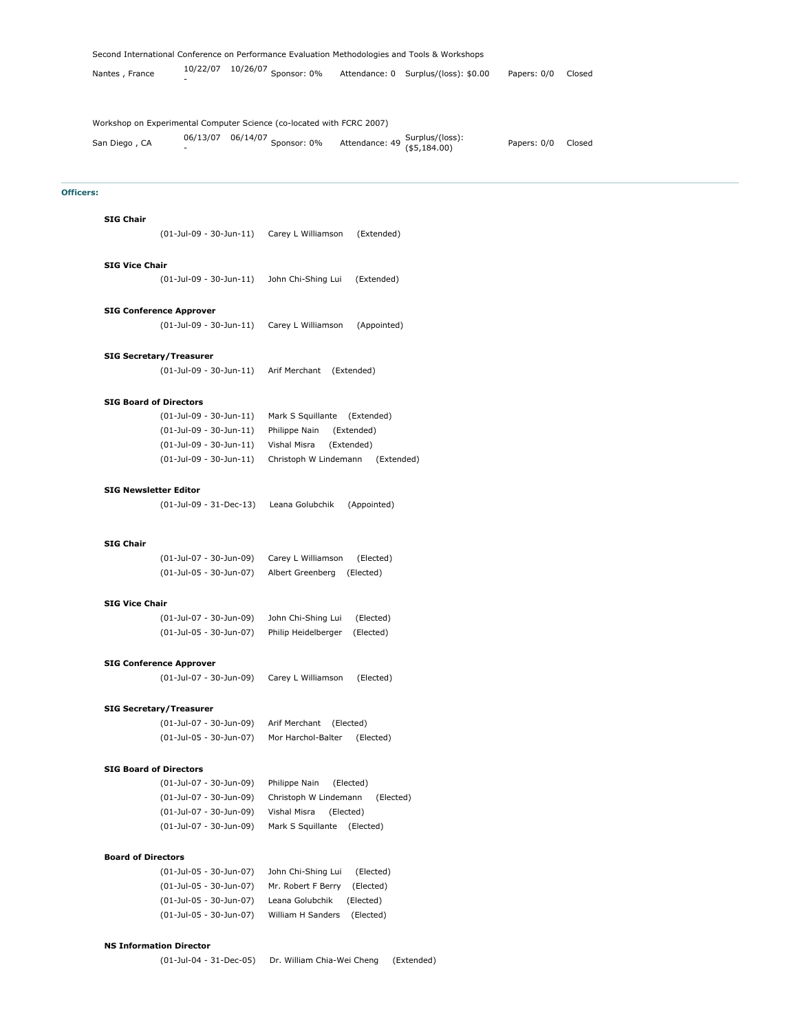| Nantes, France                                                                         | 10/22/07 | 10/26/07 Sponsor: 0%                                         | Attendance: 0 Surplus/(loss): \$0.00 | Papers: 0/0 | Closed |
|----------------------------------------------------------------------------------------|----------|--------------------------------------------------------------|--------------------------------------|-------------|--------|
| Workshop on Experimental Computer Science (co-located with FCRC 2007)<br>San Diego, CA |          | 06/13/07 06/14/07 Sponsor: 0% Attendance: 49 Surplus/(loss): |                                      | Papers: 0/0 | Closed |

# **Officers:**

#### **SIG Chair**

(01-Jul-09 - 30-Jun-11) Carey L Williamson (Extended)

Second International Conference on Performance Evaluation Methodologies and Tools & Workshops

#### **SIG Vice Chair**

(01-Jul-09 - 30-Jun-11) John Chi-Shing Lui (Extended)

#### **SIG Conference Approver**

(01-Jul-09 - 30-Jun-11) Carey L Williamson (Appointed)

#### **SIG Secretary/Treasurer**

(01-Jul-09 - 30-Jun-11) Arif Merchant (Extended)

#### **SIG Board of Directors**

| (01-Jul-09 - 30-Jun-11)   | Mark S Squillante (Extended)        |
|---------------------------|-------------------------------------|
| (01-Jul-09 - 30-Jun-11)   | Philippe Nain<br>(Extended)         |
| (01-Jul-09 - 30-Jun-11)   | Vishal Misra<br>(Extended)          |
| $(01-Jul-09 - 30-Jun-11)$ | Christoph W Lindemann<br>(Extended) |

#### **SIG Newsletter Editor**

(01-Jul-09 - 31-Dec-13) Leana Golubchik (Appointed)

## **SIG Chair**

| (01-Jul-07 - 30-Jun-09) | Carey L Williamson         | (Elected) |
|-------------------------|----------------------------|-----------|
| (01-Jul-05 - 30-Jun-07) | Albert Greenberg (Elected) |           |

#### **SIG Vice Chair**

| (01-Jul-07 - 30-Jun-09) | John Chi-Shing Lui  | (Elected) |
|-------------------------|---------------------|-----------|
| (01-Jul-05 - 30-Jun-07) | Philip Heidelberger | (Elected) |

#### **SIG Conference Approver**

(01-Jul-07 - 30-Jun-09) Carey L Williamson (Elected)

# **SIG Secretary/Treasurer**

(01-Jul-07 - 30-Jun-09) Arif Merchant (Elected) (01-Jul-05 - 30-Jun-07) Mor Harchol-Balter (Elected)

## **SIG Board of Directors**

(01-Jul-07 - 30-Jun-09) Philippe Nain (Elected) (01-Jul-07 - 30-Jun-09) Christoph W Lindemann (Elected) (01-Jul-07 - 30-Jun-09) Vishal Misra (Elected) (01-Jul-07 - 30-Jun-09) Mark S Squillante (Elected)

#### **Board of Directors**

| (01-Jul-05 - 30-Jun-07) | John Chi-Shing Lui | (Elected) |  |
|-------------------------|--------------------|-----------|--|
| (01-Jul-05 - 30-Jun-07) | Mr. Robert F Berry | (Elected) |  |
| (01-Jul-05 - 30-Jun-07) | Leana Golubchik    | (Elected) |  |
| (01-Jul-05 - 30-Jun-07) | William H Sanders  | (Elected) |  |

## **NS Information Director**

(01-Jul-04 - 31-Dec-05) Dr. William Chia-Wei Cheng (Extended)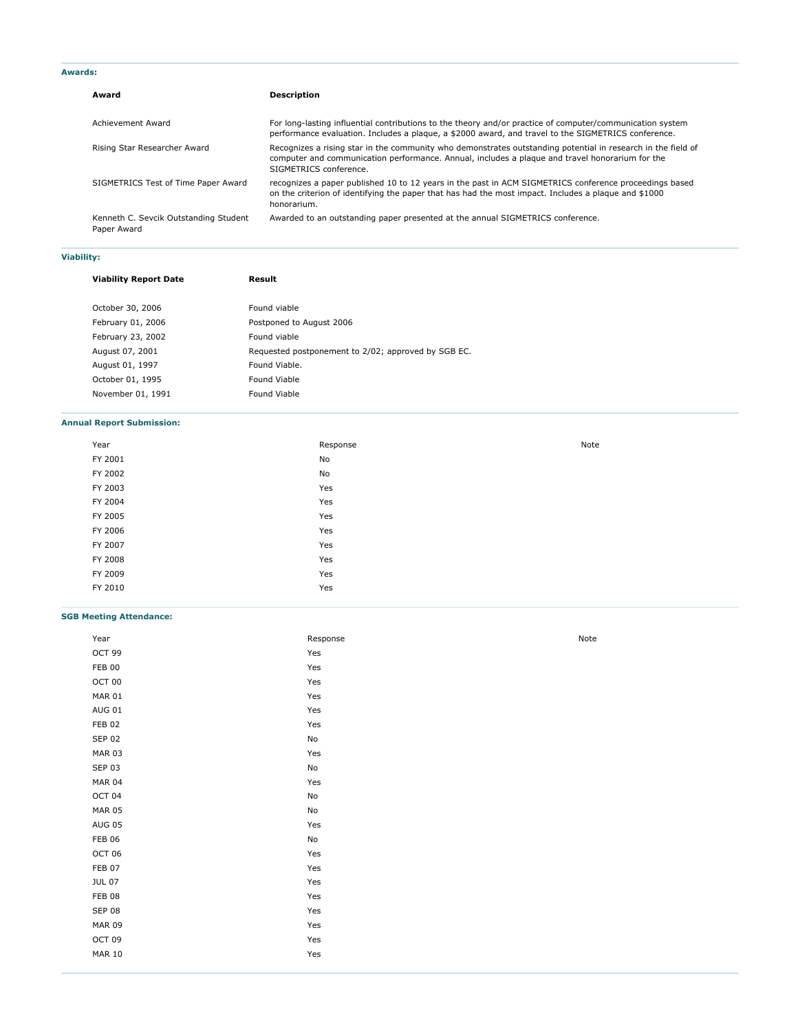| Award                                                | <b>Description</b>                                                                                                                                                                                                                        |
|------------------------------------------------------|-------------------------------------------------------------------------------------------------------------------------------------------------------------------------------------------------------------------------------------------|
| Achievement Award                                    | For long-lasting influential contributions to the theory and/or practice of computer/communication system<br>performance evaluation. Includes a plaque, a \$2000 award, and travel to the SIGMETRICS conference.                          |
| Rising Star Researcher Award                         | Recognizes a rising star in the community who demonstrates outstanding potential in research in the field of<br>computer and communication performance. Annual, includes a plaque and travel honorarium for the<br>SIGMETRICS conference. |
| SIGMETRICS Test of Time Paper Award                  | recognizes a paper published 10 to 12 years in the past in ACM SIGMETRICS conference proceedings based<br>on the criterion of identifying the paper that has had the most impact. Includes a plaque and \$1000<br>honorarium.             |
| Kenneth C. Sevcik Outstanding Student<br>Paper Award | Awarded to an outstanding paper presented at the annual SIGMETRICS conference.                                                                                                                                                            |

# **Viability:**

| <b>Viability Report Date</b> | Result                                              |
|------------------------------|-----------------------------------------------------|
|                              |                                                     |
| October 30, 2006             | Found viable                                        |
| February 01, 2006            | Postponed to August 2006                            |
| February 23, 2002            | Found viable                                        |
| August 07, 2001              | Requested postponement to 2/02; approved by SGB EC. |
| August 01, 1997              | Found Viable.                                       |
| October 01, 1995             | Found Viable                                        |
| November 01, 1991            | Found Viable                                        |

# **Annual Report Submission:**

| Year    | Response | Note |
|---------|----------|------|
| FY 2001 | No       |      |
| FY 2002 | No       |      |
| FY 2003 | Yes      |      |
| FY 2004 | Yes      |      |
| FY 2005 | Yes      |      |
| FY 2006 | Yes      |      |
| FY 2007 | Yes      |      |
| FY 2008 | Yes      |      |
| FY 2009 | Yes      |      |
| FY 2010 | Yes      |      |

# **SGB Meeting Attendance:**

| Year          | Response | Note |
|---------------|----------|------|
| OCT 99        | Yes      |      |
| <b>FEB 00</b> | Yes      |      |
| OCT 00        | Yes      |      |
| <b>MAR 01</b> | Yes      |      |
| <b>AUG 01</b> | Yes      |      |
| <b>FEB 02</b> | Yes      |      |
| <b>SEP 02</b> | No       |      |
| <b>MAR 03</b> | Yes      |      |
| <b>SEP 03</b> | No       |      |
| <b>MAR 04</b> | Yes      |      |
| OCT 04        | No       |      |
| <b>MAR 05</b> | No       |      |
| <b>AUG 05</b> | Yes      |      |
| <b>FEB 06</b> | No       |      |
| OCT 06        | Yes      |      |
| FEB 07        | Yes      |      |
| <b>JUL 07</b> | Yes      |      |
| <b>FEB 08</b> | Yes      |      |
| <b>SEP 08</b> | Yes      |      |
| <b>MAR 09</b> | Yes      |      |
| OCT 09        | Yes      |      |
| <b>MAR 10</b> | Yes      |      |
|               |          |      |